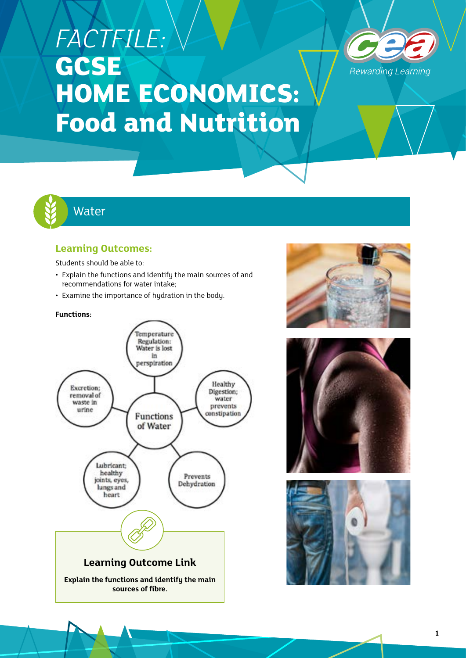# *FACTFILE:*  **GCSE HOME ECONOMICS: Food and Nutrition**





# **Learning Outcomes:**

Students should be able to:

- Explain the functions and identify the main sources of and recommendations for water intake;
- Examine the importance of hydration in the body.

#### **Functions:**







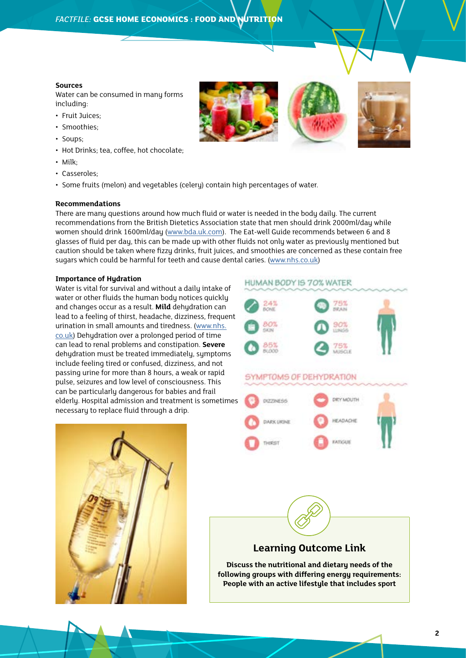#### **Sources**

Water can be consumed in many forms including:

- Fruit Juices;
- Smoothies;
- Soups;
- Hot Drinks; tea, coffee, hot chocolate;
- Milk;
- Casseroles;
- Some fruits (melon) and vegetables (celery) contain high percentages of water.

#### **Recommendations**

There are many questions around how much fluid or water is needed in the body daily. The current recommendations from the British Dietetics Association state that men should drink 2000ml/day while women should drink 1600ml/day (www.bda.uk.com). The Eat-well Guide recommends between 6 and 8 glasses of fluid per day, this can be made up with other fluids not only water as previously mentioned but caution should be taken where fizzy drinks, fruit juices, and smoothies are concerned as these contain free sugars which could be harmful for teeth and cause dental caries. (www.nhs.co.uk)

#### **Importance of Hydration**

Water is vital for survival and without a daily intake of water or other fluids the human body notices quickly and changes occur as a result. **Mild** dehydration can lead to a feeling of thirst, headache, dizziness, frequent urination in small amounts and tiredness. (www.nhs. co.uk) Dehydration over a prolonged period of time can lead to renal problems and constipation. **Severe** dehydration must be treated immediately, symptoms include feeling tired or confused, dizziness, and not passing urine for more than 8 hours, a weak or rapid pulse, seizures and low level of consciousness. This can be particularly dangerous for babies and frail elderly. Hospital admission and treatment is sometimes necessary to replace fluid through a drip.











## **Learning Outcome Link**

**Discuss the nutritional and dietary needs of the following groups with differing energy requirements: People with an active lifestyle that includes sport**